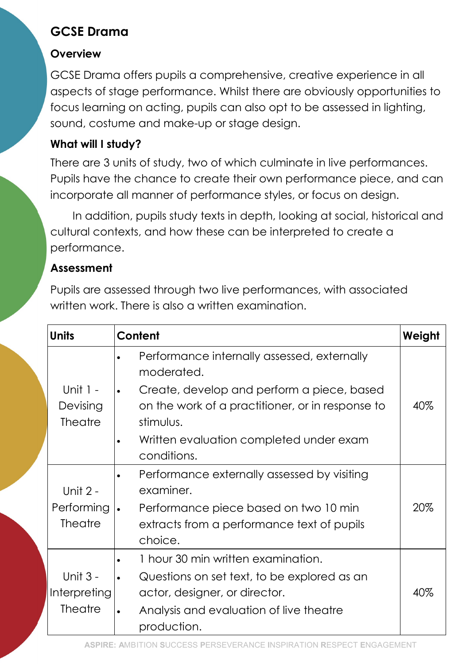# GCSE Drama

## **Overview**

GCSE Drama offers pupils a comprehensive, creative experience in all aspects of stage performance. Whilst there are obviously opportunities to focus learning on acting, pupils can also opt to be assessed in lighting, sound, costume and make-up or stage design.

## What will I study?

There are 3 units of study, two of which culminate in live performances. Pupils have the chance to create their own performance piece, and can incorporate all manner of performance styles, or focus on design.

In addition, pupils study texts in depth, looking at social, historical and cultural contexts, and how these can be interpreted to create a performance.

### Assessment

Pupils are assessed through two live performances, with associated written work. There is also a written examination.

| <b>Units</b>                             | Content                                                                                                     | Weight |
|------------------------------------------|-------------------------------------------------------------------------------------------------------------|--------|
|                                          | Performance internally assessed, externally<br>moderated.                                                   |        |
| Unit $1 -$<br>Devising<br><b>Theatre</b> | Create, develop and perform a piece, based<br>on the work of a practitioner, or in response to<br>stimulus. | 40%    |
|                                          | Written evaluation completed under exam<br>conditions.                                                      |        |
| Unit $2 -$                               | Performance externally assessed by visiting<br>examiner.                                                    |        |
| Performing<br><b>Theatre</b>             | Performance piece based on two 10 min<br>$\bullet$<br>extracts from a performance text of pupils<br>choice. | 20%    |
|                                          | 1 hour 30 min written examination.                                                                          |        |
| <b>Unit 3 -</b>                          | Questions on set text, to be explored as an                                                                 |        |
| Interpreting                             | actor, designer, or director.                                                                               | 40%    |
| <b>Theatre</b>                           | Analysis and evaluation of live theatre<br>production.                                                      |        |